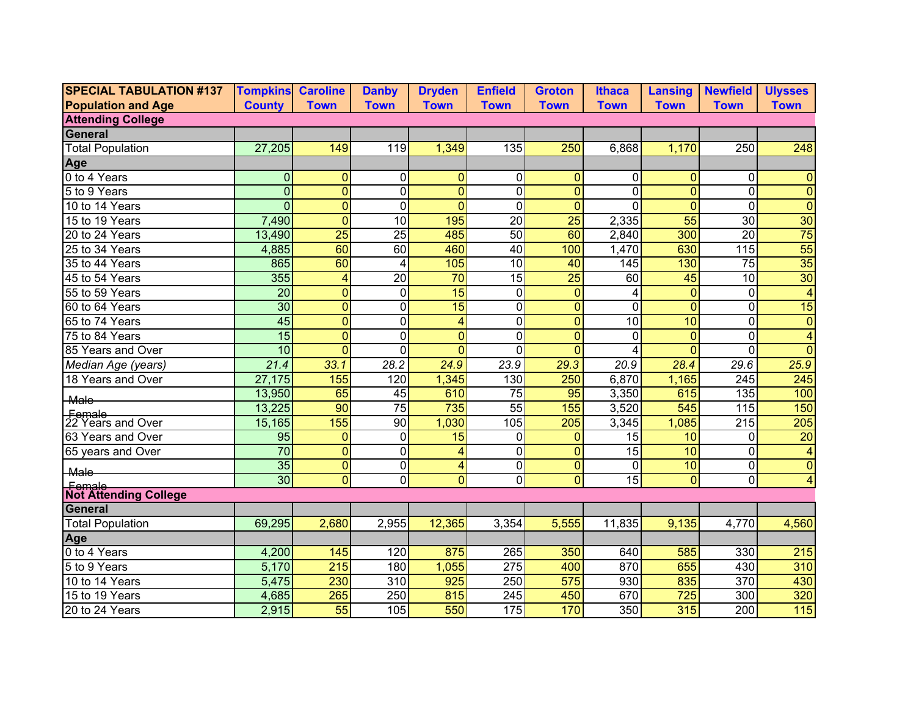| <b>SPECIAL TABULATION #137</b>  | <b>Tompkins Caroline</b> |                 | <b>Danby</b>     | <b>Dryden</b>   | <b>Enfield</b>   | <b>Groton</b>   | <b>Ithaca</b>     | <b>Lansing</b> | <b>Newfield</b>         | <b>Ulysses</b>   |
|---------------------------------|--------------------------|-----------------|------------------|-----------------|------------------|-----------------|-------------------|----------------|-------------------------|------------------|
| <b>Population and Age</b>       | <b>County</b>            | <b>Town</b>     | <b>Town</b>      | <b>Town</b>     | <b>Town</b>      | <b>Town</b>     | <b>Town</b>       | <b>Town</b>    | <b>Town</b>             | <b>Town</b>      |
| <b>Attending College</b>        |                          |                 |                  |                 |                  |                 |                   |                |                         |                  |
| General                         |                          |                 |                  |                 |                  |                 |                   |                |                         |                  |
| <b>Total Population</b>         | 27,205                   | 149             | 119              | 1,349           | 135              | 250             | 6,868             | 1,170          | 250                     | 248              |
| <b>Age</b>                      |                          |                 |                  |                 |                  |                 |                   |                |                         |                  |
| 0 to 4 Years                    | $\Omega$                 | $\overline{0}$  | $\mathbf{0}$     | $\mathbf{0}$    | $\mathbf 0$      | 0               | $\overline{0}$    | $\Omega$       | $\Omega$                | $\Omega$         |
| 5 to 9 Years                    | $\Omega$                 | $\overline{0}$  | $\mathbf 0$      | $\overline{0}$  | $\mathbf 0$      | $\mathbf{0}$    | $\Omega$          | $\Omega$       | $\overline{0}$          | $\overline{0}$   |
| 10 to 14 Years                  | $\Omega$                 | $\overline{0}$  | $\mathbf 0$      | $\overline{0}$  | $\mathbf 0$      | $\Omega$        | $\Omega$          | $\Omega$       | $\overline{0}$          | $\overline{0}$   |
| 15 to 19 Years                  | 7,490                    | $\overline{0}$  | 10               | 195             | $\overline{20}$  | $\overline{25}$ | 2,335             | 55             | 30                      | $\overline{30}$  |
| 20 to 24 Years                  | 13,490                   | 25              | $\overline{25}$  | 485             | 50               | 60              | 2,840             | 300            | 20                      | $\overline{75}$  |
| 25 to 34 Years                  | 4,885                    | 60              | 60               | 460             | 40               | 100             | 1,470             | 630            | 115                     | $\overline{55}$  |
| 35 to 44 Years                  | 865                      | 60              | 4                | 105             | 10               | 40              | 145               | 130            | 75                      | 35               |
| 45 to 54 Years                  | 355                      | 4               | $\overline{20}$  | $\overline{70}$ | $\overline{15}$  | $\overline{25}$ | 60                | 45             | $\overline{10}$         | $\overline{30}$  |
| 55 to 59 Years                  | $\overline{20}$          | $\overline{0}$  | $\Omega$         | 15              | $\mathbf 0$      | $\Omega$        | 4                 | $\Omega$       | $\overline{0}$          | $\overline{4}$   |
| 60 to 64 Years                  | 30                       | $\overline{0}$  | $\Omega$         | 15              | $\mathbf 0$      | $\Omega$        | $\mathbf 0$       | $\Omega$       | $\overline{0}$          | 15               |
| 65 to 74 Years                  | 45                       | $\overline{0}$  | $\mathbf 0$      | 4               | $\mathbf 0$      | $\Omega$        | 10                | 10             | $\overline{0}$          | $\overline{0}$   |
| 75 to 84 Years                  | 15                       | $\overline{0}$  | $\mathbf 0$      | $\overline{0}$  | $\overline{0}$   | $\overline{0}$  | $\mathbf{0}$      | $\Omega$       | $\overline{0}$          | 4                |
| 85 Years and Over               | 10                       | $\overline{0}$  | $\Omega$         | $\overline{0}$  | $\mathbf 0$      | $\Omega$        |                   | $\Omega$       | $\overline{0}$          | $\overline{0}$   |
| Median Age (years)              | 21.4                     | 33.1            | 28.2             | 24.9            | 23.9             | 29.3            | $\overline{20.9}$ | 28.4           | 29.6                    | 25.9             |
| 18 Years and Over               | 27,175                   | 155             | 120              | 1,345           | 130              | 250             | 6,870             | 1,165          | $\overline{245}$        | 245              |
| <b>Male</b>                     | 13,950                   | 65              | 45               | 610             | $\overline{75}$  | 95              | 3,350             | 615            | 135                     | 100              |
|                                 | 13,225                   | $\overline{90}$ | $\overline{75}$  | 735             | $\overline{55}$  | 155             | 3,520             | 545            | 115                     | 150              |
| Female<br>22 Years and Over     | 15,165                   | 155             | 90               | 1,030           | 105              | 205             | 3,345             | 1,085          | 215                     | $\overline{205}$ |
| 63 Years and Over               | 95                       | $\mathbf{0}$    | $\mathbf 0$      | $\overline{15}$ | $\mathbf 0$      | $\overline{0}$  | 15                | 10             | $\overline{0}$          | $\overline{20}$  |
| 65 years and Over               | 70                       | $\overline{0}$  | $\mathbf 0$      | 4               | $\overline{0}$   | $\overline{0}$  | $\overline{15}$   | 10             | $\overline{\mathsf{o}}$ | 4                |
| <b>Male</b>                     | 35                       | $\overline{0}$  | $\mathbf 0$      | 4               | $\mathbf 0$      | $\overline{0}$  | $\mathbf 0$       | 10             | $\overline{0}$          | $\overline{0}$   |
|                                 | $\overline{30}$          | $\overline{0}$  | $\mathbf 0$      | $\overline{0}$  | $\overline{0}$   | $\overline{0}$  | 15                | $\Omega$       | $\overline{0}$          | 4                |
| Female<br>Not Attending College |                          |                 |                  |                 |                  |                 |                   |                |                         |                  |
| General                         |                          |                 |                  |                 |                  |                 |                   |                |                         |                  |
| <b>Total Population</b>         | 69,295                   | 2,680           | 2,955            | 12,365          | 3,354            | 5,555           | 11,835            | 9,135          | 4,770                   | 4,560            |
| Age<br>0 to 4 Years             |                          |                 |                  |                 |                  |                 |                   |                |                         |                  |
|                                 | 4,200                    | 145             | 120              | 875             | 265              | 350             | 640               | 585            | 330                     | 215              |
| 5 to 9 Years                    | 5,170                    | 215             | 180              | 1,055           | 275              | 400             | 870               | 655            | 430                     | 310              |
| 10 to 14 Years                  | 5,475                    | 230             | $\overline{310}$ | 925             | 250              | 575             | 930               | 835            | 370                     | 430              |
| 15 to 19 Years                  | 4,685                    | 265             | 250              | 815             | $\overline{245}$ | 450             | 670               | 725            | 300                     | 320              |
| 20 to 24 Years                  | 2,915                    | 55              | 105              | 550             | 175              | 170             | 350               | 315            | 200                     | 115              |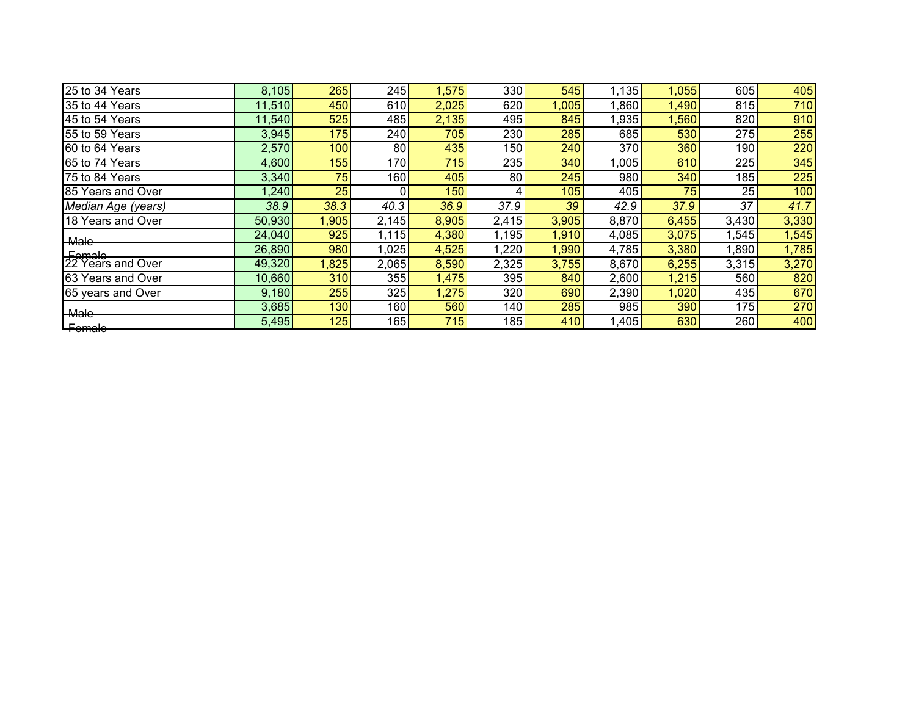| 25 to 34 Years              | 8,105  | 265   | 245   | 1,575 | 330 <sup>°</sup> | 545   | 1,135 | 1,055 | 605   | 405   |
|-----------------------------|--------|-------|-------|-------|------------------|-------|-------|-------|-------|-------|
| 35 to 44 Years              | 11,510 | 450   | 610   | 2,025 | 620              | 1,005 | 068,  | 1,490 | 815   | 710   |
| 45 to 54 Years              | 11,540 | 525   | 485   | 2,135 | 495              | 845   | 1,935 | ,560  | 820   | 910   |
| 55 to 59 Years              | 3,945  | 175   | 240   | 705   | 230              | 285   | 685   | 530   | 275   | 255   |
| 60 to 64 Years              | 2,570  | 100   | 80    | 435   | 150              | 240   | 370   | 360   | 190   | 220   |
| 65 to 74 Years              | 4,600  | 155   | 170   | 715   | 235              | 340   | 1,005 | 610   | 225   | 345   |
| 75 to 84 Years              | 3,340  | 75    | 160   | 405   | 80               | 245   | 980   | 340   | 185   | 225   |
| 85 Years and Over           | 1,240  | 25    |       | 150   | 4                | 105   | 405   | 75    | 25    | 100   |
| Median Age (years)          | 38.9   | 38.3  | 40.3  | 36.9  | 37.9             | 39    | 42.9  | 37.9  | 37    | 41.7  |
| 18 Years and Over           | 50,930 | 1,905 | 2,145 | 8,905 | 2,415            | 3,905 | 8,870 | 6,455 | 3,430 | 3,330 |
| <b>Male</b>                 | 24,040 | 925   | 1,115 | 4,380 | 1,195            | 1,910 | 4,085 | 3,075 | 1,545 | 1,545 |
|                             | 26,890 | 980   | 1,025 | 4,525 | 1,220            | 1,990 | 4,785 | 3,380 | ,890  | 1,785 |
| Female<br>22 Years and Over | 49,320 | 1,825 | 2,065 | 8,590 | 2,325            | 3,755 | 8,670 | 6,255 | 3,315 | 3,270 |
| 63 Years and Over           | 10,660 | 310   | 355   | 1,475 | 395 l            | 840   | 2,600 | 1,215 | 560   | 820   |
| 65 years and Over           | 9,180  | 255   | 325   | 1,275 | 320              | 690   | 2,390 | 1,020 | 435   | 670   |
| <b>Male</b>                 | 3,685  | 130   | 160   | 560   | 140              | 285   | 985   | 390   | 175   | 270   |
| Female                      | 5,495  | 125   | 165   | 715   | 185              | 410   | 1,405 | 630   | 260   | 400   |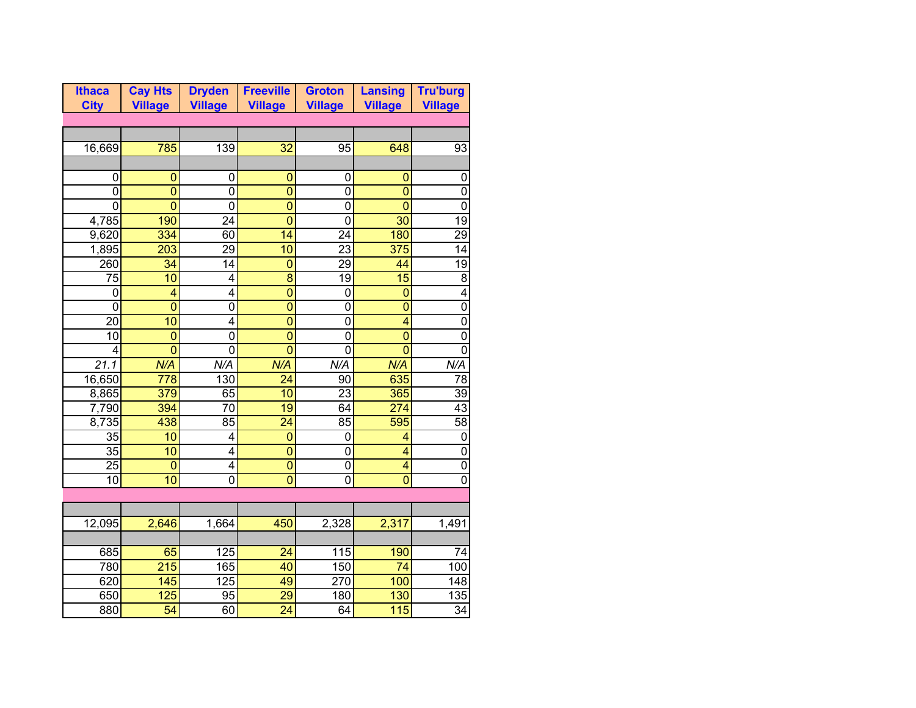| <b>Ithaca</b>     | <b>Cay Hts</b>   | <b>Dryden</b>    | <b>Freeville</b> | <b>Groton</b>   | <b>Lansing</b>          | <b>Tru'burg</b> |
|-------------------|------------------|------------------|------------------|-----------------|-------------------------|-----------------|
| <b>City</b>       | <b>Village</b>   | <b>Village</b>   | <b>Village</b>   | <b>Village</b>  | <b>Village</b>          | <b>Village</b>  |
|                   |                  |                  |                  |                 |                         |                 |
|                   |                  |                  |                  |                 |                         |                 |
| 16,669            | 785              | 139              | 32               | 95              | 648                     | 93              |
|                   |                  |                  |                  |                 |                         |                 |
| 0                 | 0                | 0                | 0                | 0               | 0                       | 0               |
| 0                 | $\mathbf 0$      | 0                | $\mathbf{0}$     | 0               | $\overline{0}$          | 0               |
| 0                 | $\overline{0}$   | 0                | $\overline{0}$   | 0               | $\overline{0}$          | 0               |
| 4,785             | 190              | $\overline{24}$  | $\overline{0}$   | 0               | $\overline{30}$         | 19              |
| 9,620             | 334              | 60               | 14               | $\overline{24}$ | 180                     | $\overline{29}$ |
| 1,895             | 203              | 29               | 10               | $\overline{23}$ | 375                     | 14              |
| 260               | 34               | 14               | $\overline{0}$   | 29              | 44                      | $\overline{19}$ |
| 75                | 10               | 4                | $\overline{8}$   | 19              | 15                      | $\overline{8}$  |
| $\mathbf 0$       | 4                | 4                | $\overline{0}$   | $\mathbf 0$     | $\overline{0}$          | 4               |
| $\mathbf 0$       | $\overline{0}$   | $\mathbf{0}$     | $\overline{0}$   | $\mathbf 0$     | $\overline{0}$          | $\mathbf 0$     |
| 20                | $\overline{10}$  | 4                | $\overline{0}$   | $\mathbf 0$     | $\overline{4}$          | $\mathbf 0$     |
| 10                | $\overline{0}$   | $\mathbf 0$      | $\overline{0}$   | $\mathbf{0}$    | $\overline{0}$          | $\mathbf{0}$    |
| 4                 | $\overline{0}$   | $\overline{0}$   | $\overline{0}$   | $\overline{0}$  | $\overline{0}$          | $\mathbf 0$     |
| $\overline{21.1}$ | N/A              | N/A              | N/A              | N/A             | N/A                     | N/A             |
| 16,650            | 778              | 130              | $\overline{24}$  | 90              | 635                     | $\overline{78}$ |
| 8,865             | 379              | 65               | 10               | $\overline{23}$ | 365                     | 39              |
| 7,790             | 394              | $\overline{70}$  | $\overline{19}$  | 64              | $\overline{274}$        | $\overline{43}$ |
| 8,735             | 438              | 85               | $\overline{24}$  | 85              | 595                     | $\overline{58}$ |
| $\overline{35}$   | 10               | 4                | $\overline{0}$   | $\mathbf 0$     | 4                       | 0               |
| 35                | 10               | 4                | $\overline{0}$   | $\mathbf 0$     | $\overline{\mathbf{4}}$ | $\mathbf 0$     |
| $\overline{25}$   | $\overline{0}$   | 4                | $\overline{0}$   | $\mathbf 0$     | $\overline{\mathbf{4}}$ | $\mathbf 0$     |
| $\overline{10}$   | 10               | $\overline{0}$   | $\overline{0}$   | $\overline{0}$  | $\overline{0}$          | $\overline{0}$  |
|                   |                  |                  |                  |                 |                         |                 |
|                   |                  |                  |                  |                 |                         |                 |
| 12,095            | 2,646            | 1,664            | 450              | 2,328           | 2,317                   | 1,491           |
|                   |                  |                  |                  |                 |                         |                 |
| 685               | 65               | 125              | 24               | 115             | 190                     | 74              |
| 780               | $\overline{215}$ | 165              | 40               | 150             | 74                      | 100             |
| 620               | 145              | $\overline{125}$ | 49               | 270             | 100                     | 148             |
| 650               | $\overline{125}$ | 95               | $\overline{29}$  | 180             | 130                     | 135             |
| 880               | $\overline{54}$  | 60               | $\overline{24}$  | 64              | 115                     | $\overline{34}$ |